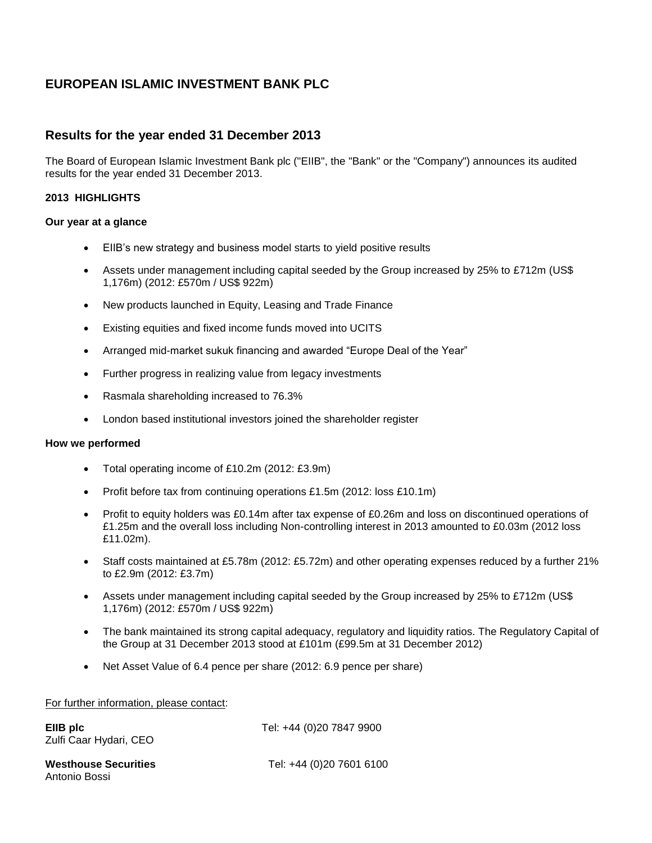## **EUROPEAN ISLAMIC INVESTMENT BANK PLC**

## **Results for the year ended 31 December 2013**

The Board of European Islamic Investment Bank plc ("EIIB", the "Bank" or the "Company") announces its audited results for the year ended 31 December 2013.

## **2013 HIGHLIGHTS**

## **Our year at a glance**

- EIIB's new strategy and business model starts to yield positive results
- Assets under management including capital seeded by the Group increased by 25% to £712m (US\$ 1,176m) (2012: £570m / US\$ 922m)
- New products launched in Equity, Leasing and Trade Finance
- Existing equities and fixed income funds moved into UCITS
- Arranged mid-market sukuk financing and awarded "Europe Deal of the Year"
- Further progress in realizing value from legacy investments
- Rasmala shareholding increased to 76.3%
- London based institutional investors joined the shareholder register

## **How we performed**

- Total operating income of £10.2m (2012: £3.9m)
- Profit before tax from continuing operations £1.5m (2012: loss £10.1m)
- Profit to equity holders was £0.14m after tax expense of £0.26m and loss on discontinued operations of £1.25m and the overall loss including Non-controlling interest in 2013 amounted to £0.03m (2012 loss £11.02m).
- Staff costs maintained at £5.78m (2012: £5.72m) and other operating expenses reduced by a further 21% to £2.9m (2012: £3.7m)
- Assets under management including capital seeded by the Group increased by 25% to £712m (US\$ 1,176m) (2012: £570m / US\$ 922m)
- The bank maintained its strong capital adequacy, regulatory and liquidity ratios. The Regulatory Capital of the Group at 31 December 2013 stood at £101m (£99.5m at 31 December 2012)
- Net Asset Value of 6.4 pence per share (2012: 6.9 pence per share)

## For further information, please contact:

| EllB plc<br>Zulfi Caar Hydari, CEO           | Tel: +44 (0)20 7847 9900 |
|----------------------------------------------|--------------------------|
| <b>Westhouse Securities</b><br>Antonio Bossi | Tel: +44 (0)20 7601 6100 |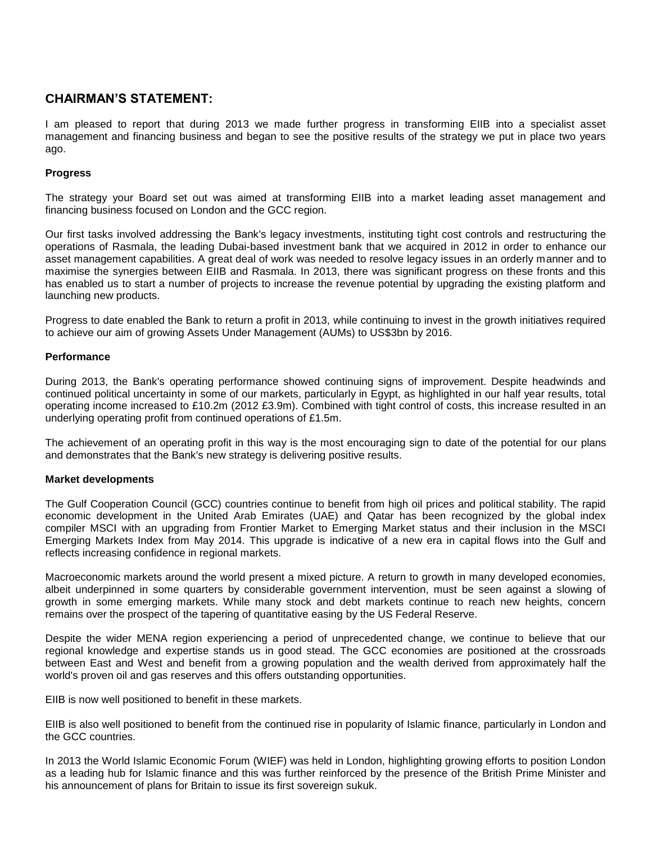## **CHAIRMAN'S STATEMENT:**

I am pleased to report that during 2013 we made further progress in transforming EIIB into a specialist asset management and financing business and began to see the positive results of the strategy we put in place two years ago.

## **Progress**

The strategy your Board set out was aimed at transforming EIIB into a market leading asset management and financing business focused on London and the GCC region.

Our first tasks involved addressing the Bank's legacy investments, instituting tight cost controls and restructuring the operations of Rasmala, the leading Dubai-based investment bank that we acquired in 2012 in order to enhance our asset management capabilities. A great deal of work was needed to resolve legacy issues in an orderly manner and to maximise the synergies between EIIB and Rasmala. In 2013, there was significant progress on these fronts and this has enabled us to start a number of projects to increase the revenue potential by upgrading the existing platform and launching new products.

Progress to date enabled the Bank to return a profit in 2013, while continuing to invest in the growth initiatives required to achieve our aim of growing Assets Under Management (AUMs) to US\$3bn by 2016.

## **Performance**

During 2013, the Bank's operating performance showed continuing signs of improvement. Despite headwinds and continued political uncertainty in some of our markets, particularly in Egypt, as highlighted in our half year results, total operating income increased to £10.2m (2012 £3.9m). Combined with tight control of costs, this increase resulted in an underlying operating profit from continued operations of £1.5m.

The achievement of an operating profit in this way is the most encouraging sign to date of the potential for our plans and demonstrates that the Bank's new strategy is delivering positive results.

## **Market developments**

The Gulf Cooperation Council (GCC) countries continue to benefit from high oil prices and political stability. The rapid economic development in the United Arab Emirates (UAE) and Qatar has been recognized by the global index compiler MSCI with an upgrading from Frontier Market to Emerging Market status and their inclusion in the MSCI Emerging Markets Index from May 2014. This upgrade is indicative of a new era in capital flows into the Gulf and reflects increasing confidence in regional markets.

Macroeconomic markets around the world present a mixed picture. A return to growth in many developed economies, albeit underpinned in some quarters by considerable government intervention, must be seen against a slowing of growth in some emerging markets. While many stock and debt markets continue to reach new heights, concern remains over the prospect of the tapering of quantitative easing by the US Federal Reserve.

Despite the wider MENA region experiencing a period of unprecedented change, we continue to believe that our regional knowledge and expertise stands us in good stead. The GCC economies are positioned at the crossroads between East and West and benefit from a growing population and the wealth derived from approximately half the world's proven oil and gas reserves and this offers outstanding opportunities.

EIIB is now well positioned to benefit in these markets.

EIIB is also well positioned to benefit from the continued rise in popularity of Islamic finance, particularly in London and the GCC countries.

In 2013 the World Islamic Economic Forum (WIEF) was held in London, highlighting growing efforts to position London as a leading hub for Islamic finance and this was further reinforced by the presence of the British Prime Minister and his announcement of plans for Britain to issue its first sovereign sukuk.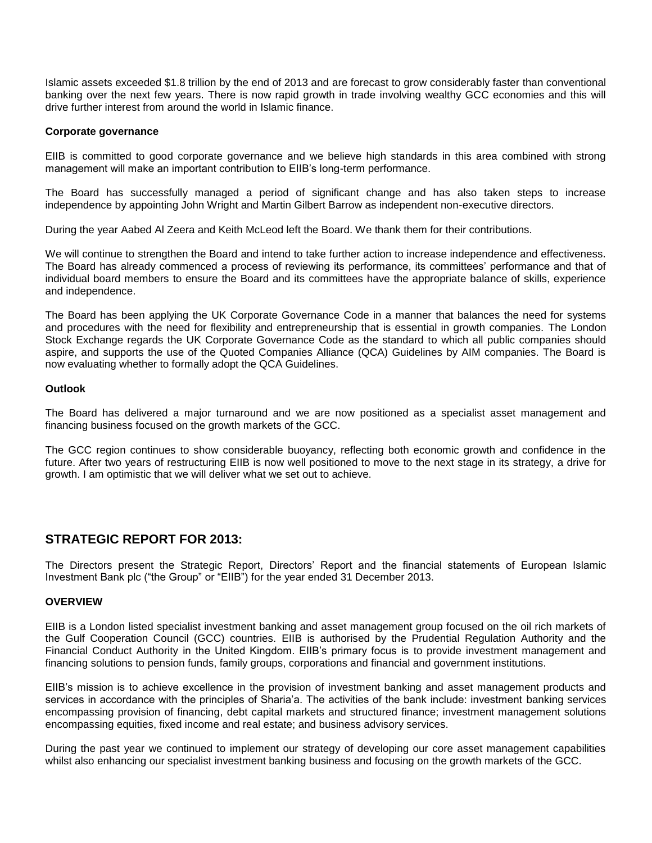Islamic assets exceeded \$1.8 trillion by the end of 2013 and are forecast to grow considerably faster than conventional banking over the next few years. There is now rapid growth in trade involving wealthy GCC economies and this will drive further interest from around the world in Islamic finance.

## **Corporate governance**

EIIB is committed to good corporate governance and we believe high standards in this area combined with strong management will make an important contribution to EIIB's long-term performance.

The Board has successfully managed a period of significant change and has also taken steps to increase independence by appointing John Wright and Martin Gilbert Barrow as independent non-executive directors.

During the year Aabed Al Zeera and Keith McLeod left the Board. We thank them for their contributions.

We will continue to strengthen the Board and intend to take further action to increase independence and effectiveness. The Board has already commenced a process of reviewing its performance, its committees' performance and that of individual board members to ensure the Board and its committees have the appropriate balance of skills, experience and independence.

The Board has been applying the UK Corporate Governance Code in a manner that balances the need for systems and procedures with the need for flexibility and entrepreneurship that is essential in growth companies. The London Stock Exchange regards the UK Corporate Governance Code as the standard to which all public companies should aspire, and supports the use of the Quoted Companies Alliance (QCA) Guidelines by AIM companies. The Board is now evaluating whether to formally adopt the QCA Guidelines.

## **Outlook**

The Board has delivered a major turnaround and we are now positioned as a specialist asset management and financing business focused on the growth markets of the GCC.

The GCC region continues to show considerable buoyancy, reflecting both economic growth and confidence in the future. After two years of restructuring EIIB is now well positioned to move to the next stage in its strategy, a drive for growth. I am optimistic that we will deliver what we set out to achieve.

## **STRATEGIC REPORT FOR 2013:**

The Directors present the Strategic Report, Directors' Report and the financial statements of European Islamic Investment Bank plc ("the Group" or "EIIB") for the year ended 31 December 2013.

#### **OVERVIEW**

EIIB is a London listed specialist investment banking and asset management group focused on the oil rich markets of the Gulf Cooperation Council (GCC) countries. EIIB is authorised by the Prudential Regulation Authority and the Financial Conduct Authority in the United Kingdom. EIIB's primary focus is to provide investment management and financing solutions to pension funds, family groups, corporations and financial and government institutions.

EIIB's mission is to achieve excellence in the provision of investment banking and asset management products and services in accordance with the principles of Sharia'a. The activities of the bank include: investment banking services encompassing provision of financing, debt capital markets and structured finance; investment management solutions encompassing equities, fixed income and real estate; and business advisory services.

During the past year we continued to implement our strategy of developing our core asset management capabilities whilst also enhancing our specialist investment banking business and focusing on the growth markets of the GCC.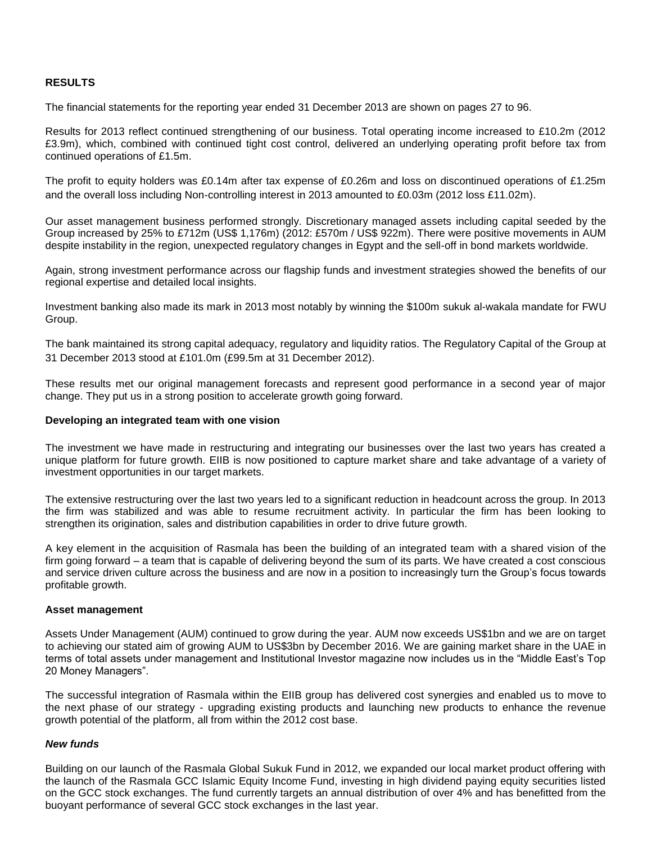## **RESULTS**

The financial statements for the reporting year ended 31 December 2013 are shown on pages 27 to 96.

Results for 2013 reflect continued strengthening of our business. Total operating income increased to £10.2m (2012 £3.9m), which, combined with continued tight cost control, delivered an underlying operating profit before tax from continued operations of £1.5m.

The profit to equity holders was £0.14m after tax expense of £0.26m and loss on discontinued operations of £1.25m and the overall loss including Non-controlling interest in 2013 amounted to £0.03m (2012 loss £11.02m).

Our asset management business performed strongly. Discretionary managed assets including capital seeded by the Group increased by 25% to £712m (US\$ 1,176m) (2012: £570m / US\$ 922m). There were positive movements in AUM despite instability in the region, unexpected regulatory changes in Egypt and the sell-off in bond markets worldwide.

Again, strong investment performance across our flagship funds and investment strategies showed the benefits of our regional expertise and detailed local insights.

Investment banking also made its mark in 2013 most notably by winning the \$100m sukuk al-wakala mandate for FWU Group.

The bank maintained its strong capital adequacy, regulatory and liquidity ratios. The Regulatory Capital of the Group at 31 December 2013 stood at £101.0m (£99.5m at 31 December 2012).

These results met our original management forecasts and represent good performance in a second year of major change. They put us in a strong position to accelerate growth going forward.

#### **Developing an integrated team with one vision**

The investment we have made in restructuring and integrating our businesses over the last two years has created a unique platform for future growth. EIIB is now positioned to capture market share and take advantage of a variety of investment opportunities in our target markets.

The extensive restructuring over the last two years led to a significant reduction in headcount across the group. In 2013 the firm was stabilized and was able to resume recruitment activity. In particular the firm has been looking to strengthen its origination, sales and distribution capabilities in order to drive future growth.

A key element in the acquisition of Rasmala has been the building of an integrated team with a shared vision of the firm going forward – a team that is capable of delivering beyond the sum of its parts. We have created a cost conscious and service driven culture across the business and are now in a position to increasingly turn the Group's focus towards profitable growth.

#### **Asset management**

Assets Under Management (AUM) continued to grow during the year. AUM now exceeds US\$1bn and we are on target to achieving our stated aim of growing AUM to US\$3bn by December 2016. We are gaining market share in the UAE in terms of total assets under management and Institutional Investor magazine now includes us in the "Middle East's Top 20 Money Managers".

The successful integration of Rasmala within the EIIB group has delivered cost synergies and enabled us to move to the next phase of our strategy - upgrading existing products and launching new products to enhance the revenue growth potential of the platform, all from within the 2012 cost base.

## *New funds*

Building on our launch of the Rasmala Global Sukuk Fund in 2012, we expanded our local market product offering with the launch of the Rasmala GCC Islamic Equity Income Fund, investing in high dividend paying equity securities listed on the GCC stock exchanges. The fund currently targets an annual distribution of over 4% and has benefitted from the buoyant performance of several GCC stock exchanges in the last year.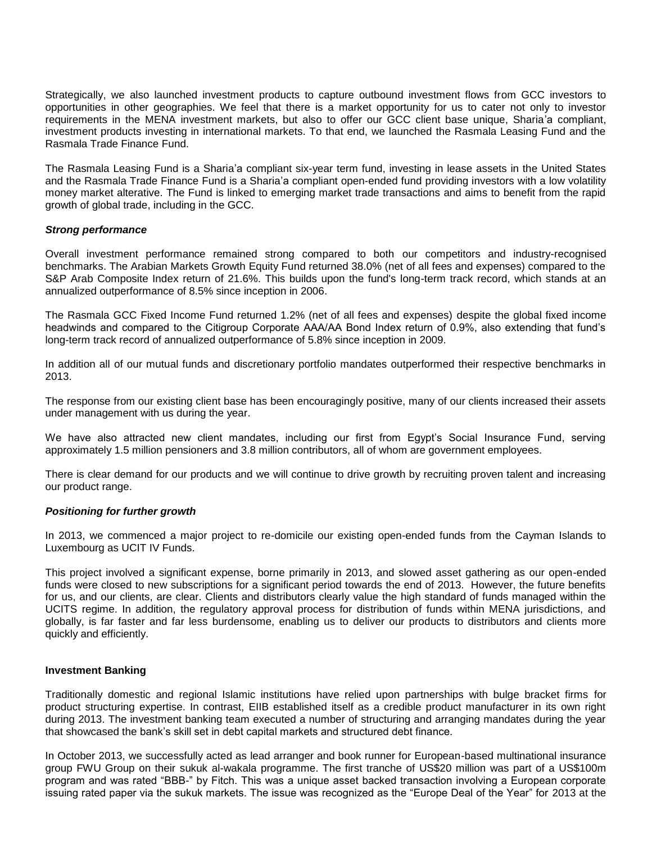Strategically, we also launched investment products to capture outbound investment flows from GCC investors to opportunities in other geographies. We feel that there is a market opportunity for us to cater not only to investor requirements in the MENA investment markets, but also to offer our GCC client base unique, Sharia'a compliant, investment products investing in international markets. To that end, we launched the Rasmala Leasing Fund and the Rasmala Trade Finance Fund.

The Rasmala Leasing Fund is a Sharia'a compliant six-year term fund, investing in lease assets in the United States and the Rasmala Trade Finance Fund is a Sharia'a compliant open-ended fund providing investors with a low volatility money market alterative. The Fund is linked to emerging market trade transactions and aims to benefit from the rapid growth of global trade, including in the GCC.

## *Strong performance*

Overall investment performance remained strong compared to both our competitors and industry-recognised benchmarks. The Arabian Markets Growth Equity Fund returned 38.0% (net of all fees and expenses) compared to the S&P Arab Composite Index return of 21.6%. This builds upon the fund's long-term track record, which stands at an annualized outperformance of 8.5% since inception in 2006.

The Rasmala GCC Fixed Income Fund returned 1.2% (net of all fees and expenses) despite the global fixed income headwinds and compared to the Citigroup Corporate AAA/AA Bond Index return of 0.9%, also extending that fund's long-term track record of annualized outperformance of 5.8% since inception in 2009.

In addition all of our mutual funds and discretionary portfolio mandates outperformed their respective benchmarks in 2013.

The response from our existing client base has been encouragingly positive, many of our clients increased their assets under management with us during the year.

We have also attracted new client mandates, including our first from Egypt's Social Insurance Fund, serving approximately 1.5 million pensioners and 3.8 million contributors, all of whom are government employees.

There is clear demand for our products and we will continue to drive growth by recruiting proven talent and increasing our product range.

#### *Positioning for further growth*

In 2013, we commenced a major project to re-domicile our existing open-ended funds from the Cayman Islands to Luxembourg as UCIT IV Funds.

This project involved a significant expense, borne primarily in 2013, and slowed asset gathering as our open-ended funds were closed to new subscriptions for a significant period towards the end of 2013. However, the future benefits for us, and our clients, are clear. Clients and distributors clearly value the high standard of funds managed within the UCITS regime. In addition, the regulatory approval process for distribution of funds within MENA jurisdictions, and globally, is far faster and far less burdensome, enabling us to deliver our products to distributors and clients more quickly and efficiently.

#### **Investment Banking**

Traditionally domestic and regional Islamic institutions have relied upon partnerships with bulge bracket firms for product structuring expertise. In contrast, EIIB established itself as a credible product manufacturer in its own right during 2013. The investment banking team executed a number of structuring and arranging mandates during the year that showcased the bank's skill set in debt capital markets and structured debt finance.

In October 2013, we successfully acted as lead arranger and book runner for European-based multinational insurance group FWU Group on their sukuk al-wakala programme. The first tranche of US\$20 million was part of a US\$100m program and was rated "BBB-" by Fitch. This was a unique asset backed transaction involving a European corporate issuing rated paper via the sukuk markets. The issue was recognized as the "Europe Deal of the Year" for 2013 at the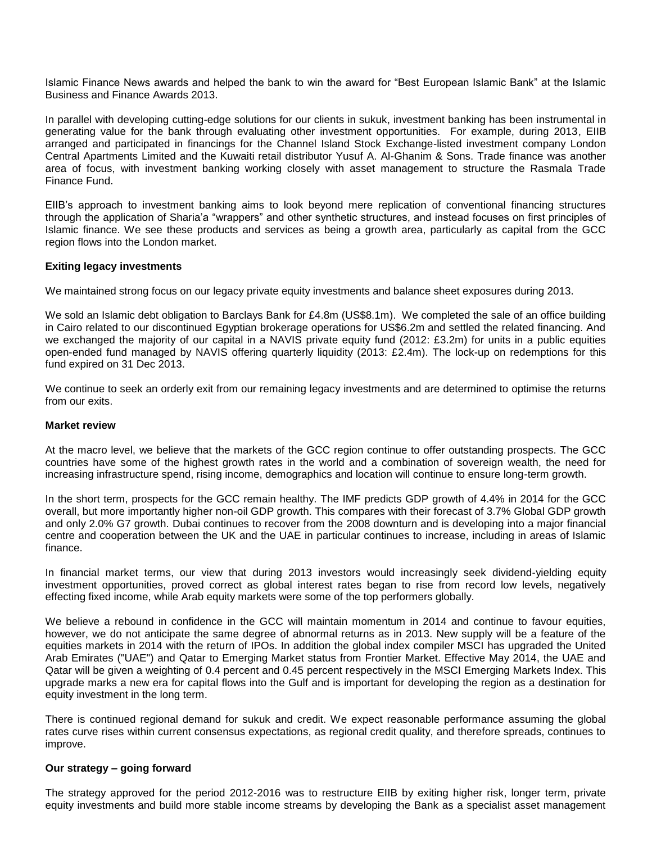Islamic Finance News awards and helped the bank to win the award for "Best European Islamic Bank" at the Islamic Business and Finance Awards 2013.

In parallel with developing cutting-edge solutions for our clients in sukuk, investment banking has been instrumental in generating value for the bank through evaluating other investment opportunities. For example, during 2013, EIIB arranged and participated in financings for the Channel Island Stock Exchange-listed investment company London Central Apartments Limited and the Kuwaiti retail distributor Yusuf A. Al-Ghanim & Sons. Trade finance was another area of focus, with investment banking working closely with asset management to structure the Rasmala Trade Finance Fund.

EIIB's approach to investment banking aims to look beyond mere replication of conventional financing structures through the application of Sharia'a "wrappers" and other synthetic structures, and instead focuses on first principles of Islamic finance. We see these products and services as being a growth area, particularly as capital from the GCC region flows into the London market.

## **Exiting legacy investments**

We maintained strong focus on our legacy private equity investments and balance sheet exposures during 2013.

We sold an Islamic debt obligation to Barclays Bank for £4.8m (US\$8.1m). We completed the sale of an office building in Cairo related to our discontinued Egyptian brokerage operations for US\$6.2m and settled the related financing. And we exchanged the majority of our capital in a NAVIS private equity fund (2012: £3.2m) for units in a public equities open-ended fund managed by NAVIS offering quarterly liquidity (2013: £2.4m). The lock-up on redemptions for this fund expired on 31 Dec 2013.

We continue to seek an orderly exit from our remaining legacy investments and are determined to optimise the returns from our exits.

#### **Market review**

At the macro level, we believe that the markets of the GCC region continue to offer outstanding prospects. The GCC countries have some of the highest growth rates in the world and a combination of sovereign wealth, the need for increasing infrastructure spend, rising income, demographics and location will continue to ensure long-term growth.

In the short term, prospects for the GCC remain healthy. The IMF predicts GDP growth of 4.4% in 2014 for the GCC overall, but more importantly higher non-oil GDP growth. This compares with their forecast of 3.7% Global GDP growth and only 2.0% G7 growth. Dubai continues to recover from the 2008 downturn and is developing into a major financial centre and cooperation between the UK and the UAE in particular continues to increase, including in areas of Islamic finance.

In financial market terms, our view that during 2013 investors would increasingly seek dividend-yielding equity investment opportunities, proved correct as global interest rates began to rise from record low levels, negatively effecting fixed income, while Arab equity markets were some of the top performers globally.

We believe a rebound in confidence in the GCC will maintain momentum in 2014 and continue to favour equities, however, we do not anticipate the same degree of abnormal returns as in 2013. New supply will be a feature of the equities markets in 2014 with the return of IPOs. In addition the global index compiler MSCI has upgraded the United Arab Emirates ("UAE") and Qatar to Emerging Market status from Frontier Market. Effective May 2014, the UAE and Qatar will be given a weighting of 0.4 percent and 0.45 percent respectively in the MSCI Emerging Markets Index. This upgrade marks a new era for capital flows into the Gulf and is important for developing the region as a destination for equity investment in the long term.

There is continued regional demand for sukuk and credit. We expect reasonable performance assuming the global rates curve rises within current consensus expectations, as regional credit quality, and therefore spreads, continues to improve.

## **Our strategy – going forward**

The strategy approved for the period 2012-2016 was to restructure EIIB by exiting higher risk, longer term, private equity investments and build more stable income streams by developing the Bank as a specialist asset management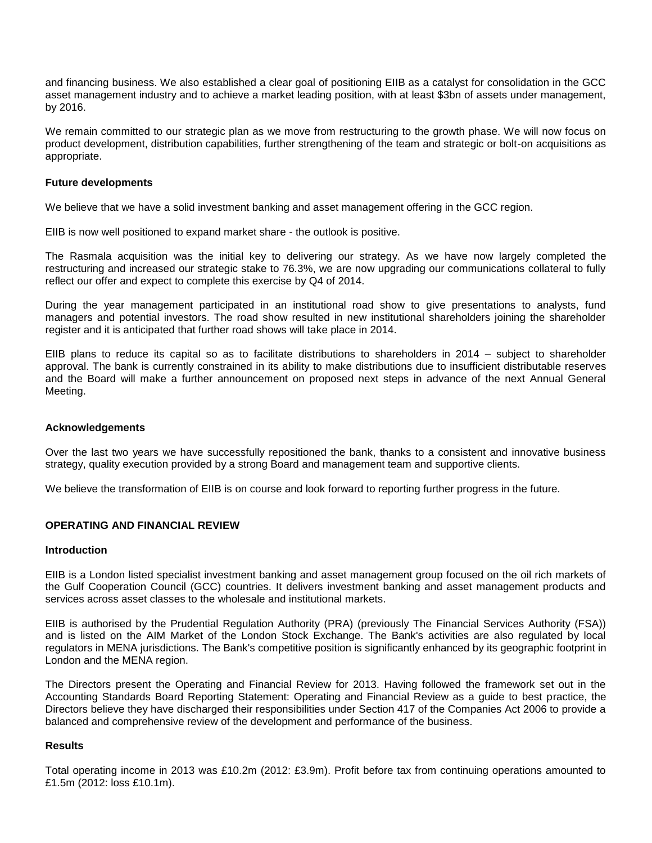and financing business. We also established a clear goal of positioning EIIB as a catalyst for consolidation in the GCC asset management industry and to achieve a market leading position, with at least \$3bn of assets under management, by 2016.

We remain committed to our strategic plan as we move from restructuring to the growth phase. We will now focus on product development, distribution capabilities, further strengthening of the team and strategic or bolt-on acquisitions as appropriate.

## **Future developments**

We believe that we have a solid investment banking and asset management offering in the GCC region.

EIIB is now well positioned to expand market share - the outlook is positive.

The Rasmala acquisition was the initial key to delivering our strategy. As we have now largely completed the restructuring and increased our strategic stake to 76.3%, we are now upgrading our communications collateral to fully reflect our offer and expect to complete this exercise by Q4 of 2014.

During the year management participated in an institutional road show to give presentations to analysts, fund managers and potential investors. The road show resulted in new institutional shareholders joining the shareholder register and it is anticipated that further road shows will take place in 2014.

EIIB plans to reduce its capital so as to facilitate distributions to shareholders in 2014 – subject to shareholder approval. The bank is currently constrained in its ability to make distributions due to insufficient distributable reserves and the Board will make a further announcement on proposed next steps in advance of the next Annual General Meeting.

#### **Acknowledgements**

Over the last two years we have successfully repositioned the bank, thanks to a consistent and innovative business strategy, quality execution provided by a strong Board and management team and supportive clients.

We believe the transformation of EIIB is on course and look forward to reporting further progress in the future.

#### **OPERATING AND FINANCIAL REVIEW**

#### **Introduction**

EIIB is a London listed specialist investment banking and asset management group focused on the oil rich markets of the Gulf Cooperation Council (GCC) countries. It delivers investment banking and asset management products and services across asset classes to the wholesale and institutional markets.

EIIB is authorised by the Prudential Regulation Authority (PRA) (previously The Financial Services Authority (FSA)) and is listed on the AIM Market of the London Stock Exchange. The Bank's activities are also regulated by local regulators in MENA jurisdictions. The Bank's competitive position is significantly enhanced by its geographic footprint in London and the MENA region.

The Directors present the Operating and Financial Review for 2013. Having followed the framework set out in the Accounting Standards Board Reporting Statement: Operating and Financial Review as a guide to best practice, the Directors believe they have discharged their responsibilities under Section 417 of the Companies Act 2006 to provide a balanced and comprehensive review of the development and performance of the business.

#### **Results**

Total operating income in 2013 was £10.2m (2012: £3.9m). Profit before tax from continuing operations amounted to £1.5m (2012: loss £10.1m).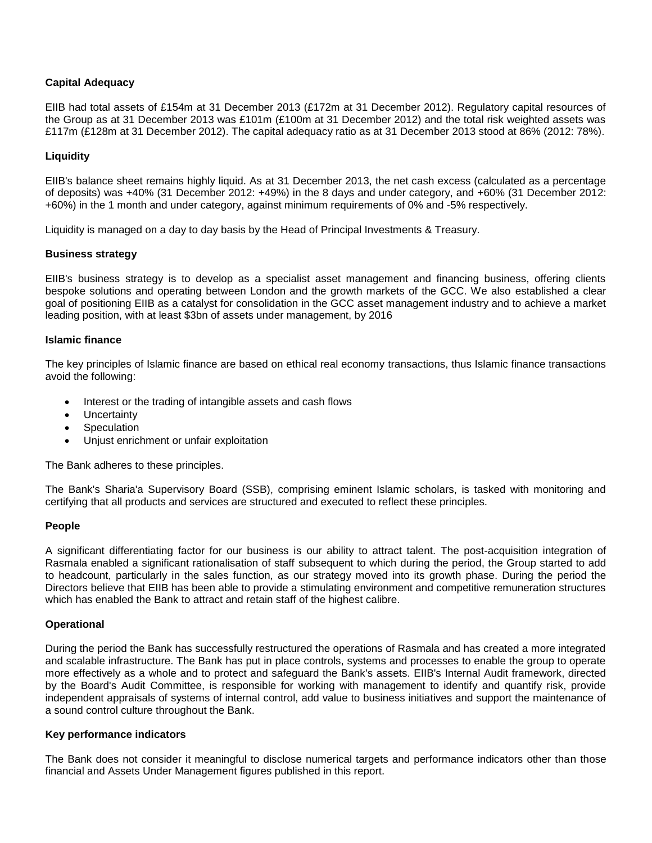## **Capital Adequacy**

EIIB had total assets of £154m at 31 December 2013 (£172m at 31 December 2012). Regulatory capital resources of the Group as at 31 December 2013 was £101m (£100m at 31 December 2012) and the total risk weighted assets was £117m (£128m at 31 December 2012). The capital adequacy ratio as at 31 December 2013 stood at 86% (2012: 78%).

## **Liquidity**

EIIB's balance sheet remains highly liquid. As at 31 December 2013, the net cash excess (calculated as a percentage of deposits) was +40% (31 December 2012: +49%) in the 8 days and under category, and +60% (31 December 2012: +60%) in the 1 month and under category, against minimum requirements of 0% and -5% respectively.

Liquidity is managed on a day to day basis by the Head of Principal Investments & Treasury.

## **Business strategy**

EIIB's business strategy is to develop as a specialist asset management and financing business, offering clients bespoke solutions and operating between London and the growth markets of the GCC. We also established a clear goal of positioning EIIB as a catalyst for consolidation in the GCC asset management industry and to achieve a market leading position, with at least \$3bn of assets under management, by 2016

#### **Islamic finance**

The key principles of Islamic finance are based on ethical real economy transactions, thus Islamic finance transactions avoid the following:

- Interest or the trading of intangible assets and cash flows
- Uncertainty
- Speculation
- Unjust enrichment or unfair exploitation

The Bank adheres to these principles.

The Bank's Sharia'a Supervisory Board (SSB), comprising eminent Islamic scholars, is tasked with monitoring and certifying that all products and services are structured and executed to reflect these principles.

## **People**

A significant differentiating factor for our business is our ability to attract talent. The post-acquisition integration of Rasmala enabled a significant rationalisation of staff subsequent to which during the period, the Group started to add to headcount, particularly in the sales function, as our strategy moved into its growth phase. During the period the Directors believe that EIIB has been able to provide a stimulating environment and competitive remuneration structures which has enabled the Bank to attract and retain staff of the highest calibre.

## **Operational**

During the period the Bank has successfully restructured the operations of Rasmala and has created a more integrated and scalable infrastructure. The Bank has put in place controls, systems and processes to enable the group to operate more effectively as a whole and to protect and safeguard the Bank's assets. EIIB's Internal Audit framework, directed by the Board's Audit Committee, is responsible for working with management to identify and quantify risk, provide independent appraisals of systems of internal control, add value to business initiatives and support the maintenance of a sound control culture throughout the Bank.

## **Key performance indicators**

The Bank does not consider it meaningful to disclose numerical targets and performance indicators other than those financial and Assets Under Management figures published in this report.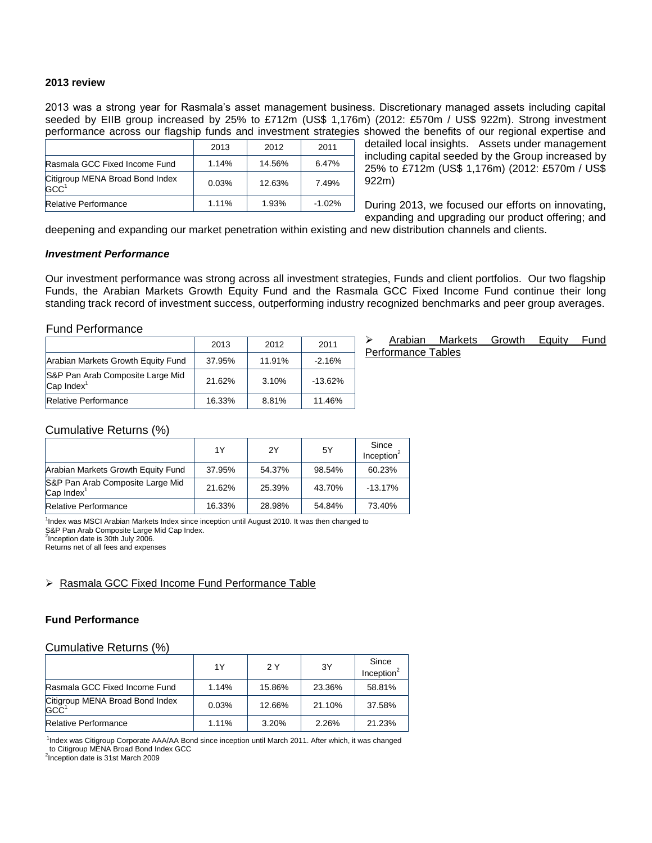#### **2013 review**

2013 was a strong year for Rasmala's asset management business. Discretionary managed assets including capital seeded by EIIB group increased by 25% to £712m (US\$ 1,176m) (2012: £570m / US\$ 922m). Strong investment performance across our flagship funds and investment strategies showed the benefits of our regional expertise and

|                                                     | 2013  | 2012   | 2011     |
|-----------------------------------------------------|-------|--------|----------|
| Rasmala GCC Fixed Income Fund                       | 1.14% | 14.56% | 6.47%    |
| Citigroup MENA Broad Bond Index<br>GCC <sup>1</sup> | 0.03% | 12.63% | 7.49%    |
| <b>Relative Performance</b>                         | 1.11% | 1.93%  | $-1.02%$ |

detailed local insights. Assets under management including capital seeded by the Group increased by 25% to £712m (US\$ 1,176m) (2012: £570m / US\$ 922m)

During 2013, we focused our efforts on innovating, expanding and upgrading our product offering; and

deepening and expanding our market penetration within existing and new distribution channels and clients.

#### *Investment Performance*

Our investment performance was strong across all investment strategies, Funds and client portfolios. Our two flagship Funds, the Arabian Markets Growth Equity Fund and the Rasmala GCC Fixed Income Fund continue their long standing track record of investment success, outperforming industry recognized benchmarks and peer group averages.

#### Fund Performance

|                                                     | 2013   | 2012   | 2011      |
|-----------------------------------------------------|--------|--------|-----------|
| Arabian Markets Growth Equity Fund                  | 37.95% | 11.91% | $-2.16%$  |
| S&P Pan Arab Composite Large Mid<br>$Cap$ Index $1$ | 21.62% | 3.10%  | $-13.62%$ |
| <b>Relative Performance</b>                         | 16.33% | 8.81%  | 11.46%    |

 Arabian Markets Growth Equity Fund Performance Tables

#### Cumulative Returns (%)

|                                                                    | 1Y     | 2Y     | 5Y     | Since<br>Inception $2$ |
|--------------------------------------------------------------------|--------|--------|--------|------------------------|
| Arabian Markets Growth Equity Fund                                 | 37.95% | 54.37% | 98.54% | 60.23%                 |
| S&P Pan Arab Composite Large Mid<br>$\mathsf{Cap}\mathsf{Index}^1$ | 21.62% | 25.39% | 43.70% | $-13.17%$              |
| <b>Relative Performance</b>                                        | 16.33% | 28.98% | 54.84% | 73.40%                 |

1 Index was MSCI Arabian Markets Index since inception until August 2010. It was then changed to

S&P Pan Arab Composite Large Mid Cap Index.  $2$ Inception date is 30th July 2006.

Returns net of all fees and expenses

## ▶ Rasmala GCC Fixed Income Fund Performance Table

#### **Fund Performance**

#### Cumulative Returns (%)

|                                                           | 1Y    | 2 Y    | 3Y     | Since<br>Inception $2$ |
|-----------------------------------------------------------|-------|--------|--------|------------------------|
| Rasmala GCC Fixed Income Fund                             | 1.14% | 15.86% | 23.36% | 58.81%                 |
| Citigroup MENA Broad Bond Index<br>$G$ C $C$ <sup>1</sup> | 0.03% | 12.66% | 21.10% | 37.58%                 |
| <b>Relative Performance</b>                               | 1.11% | 3.20%  | 2.26%  | 21.23%                 |

<sup>1</sup>Index was Citigroup Corporate AAA/AA Bond since inception until March 2011. After which, it was changed to Citigroup MENA Broad Bond Index GCC

<sup>2</sup>Inception date is 31st March 2009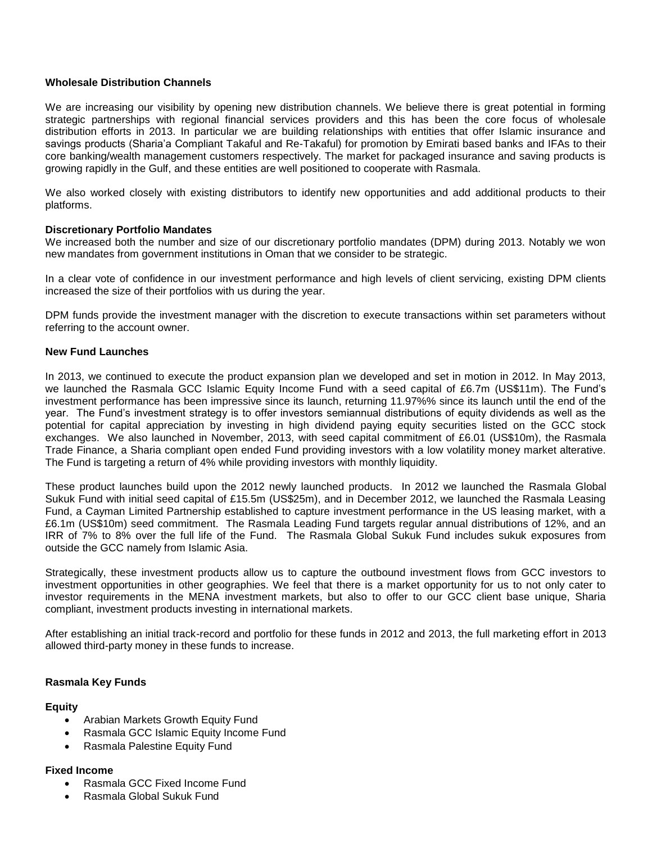## **Wholesale Distribution Channels**

We are increasing our visibility by opening new distribution channels. We believe there is great potential in forming strategic partnerships with regional financial services providers and this has been the core focus of wholesale distribution efforts in 2013. In particular we are building relationships with entities that offer Islamic insurance and savings products (Sharia'a Compliant Takaful and Re-Takaful) for promotion by Emirati based banks and IFAs to their core banking/wealth management customers respectively. The market for packaged insurance and saving products is growing rapidly in the Gulf, and these entities are well positioned to cooperate with Rasmala.

We also worked closely with existing distributors to identify new opportunities and add additional products to their platforms.

## **Discretionary Portfolio Mandates**

We increased both the number and size of our discretionary portfolio mandates (DPM) during 2013. Notably we won new mandates from government institutions in Oman that we consider to be strategic.

In a clear vote of confidence in our investment performance and high levels of client servicing, existing DPM clients increased the size of their portfolios with us during the year.

DPM funds provide the investment manager with the discretion to execute transactions within set parameters without referring to the account owner.

## **New Fund Launches**

In 2013, we continued to execute the product expansion plan we developed and set in motion in 2012. In May 2013, we launched the Rasmala GCC Islamic Equity Income Fund with a seed capital of £6.7m (US\$11m). The Fund's investment performance has been impressive since its launch, returning 11.97%% since its launch until the end of the year. The Fund's investment strategy is to offer investors semiannual distributions of equity dividends as well as the potential for capital appreciation by investing in high dividend paying equity securities listed on the GCC stock exchanges. We also launched in November, 2013, with seed capital commitment of £6.01 (US\$10m), the Rasmala Trade Finance, a Sharia compliant open ended Fund providing investors with a low volatility money market alterative. The Fund is targeting a return of 4% while providing investors with monthly liquidity.

These product launches build upon the 2012 newly launched products. In 2012 we launched the Rasmala Global Sukuk Fund with initial seed capital of £15.5m (US\$25m), and in December 2012, we launched the Rasmala Leasing Fund, a Cayman Limited Partnership established to capture investment performance in the US leasing market, with a £6.1m (US\$10m) seed commitment. The Rasmala Leading Fund targets regular annual distributions of 12%, and an IRR of 7% to 8% over the full life of the Fund. The Rasmala Global Sukuk Fund includes sukuk exposures from outside the GCC namely from Islamic Asia.

Strategically, these investment products allow us to capture the outbound investment flows from GCC investors to investment opportunities in other geographies. We feel that there is a market opportunity for us to not only cater to investor requirements in the MENA investment markets, but also to offer to our GCC client base unique, Sharia compliant, investment products investing in international markets.

After establishing an initial track-record and portfolio for these funds in 2012 and 2013, the full marketing effort in 2013 allowed third-party money in these funds to increase.

## **Rasmala Key Funds**

## **Equity**

- Arabian Markets Growth Equity Fund
- Rasmala GCC Islamic Equity Income Fund
- Rasmala Palestine Equity Fund

## **Fixed Income**

- Rasmala GCC Fixed Income Fund
- Rasmala Global Sukuk Fund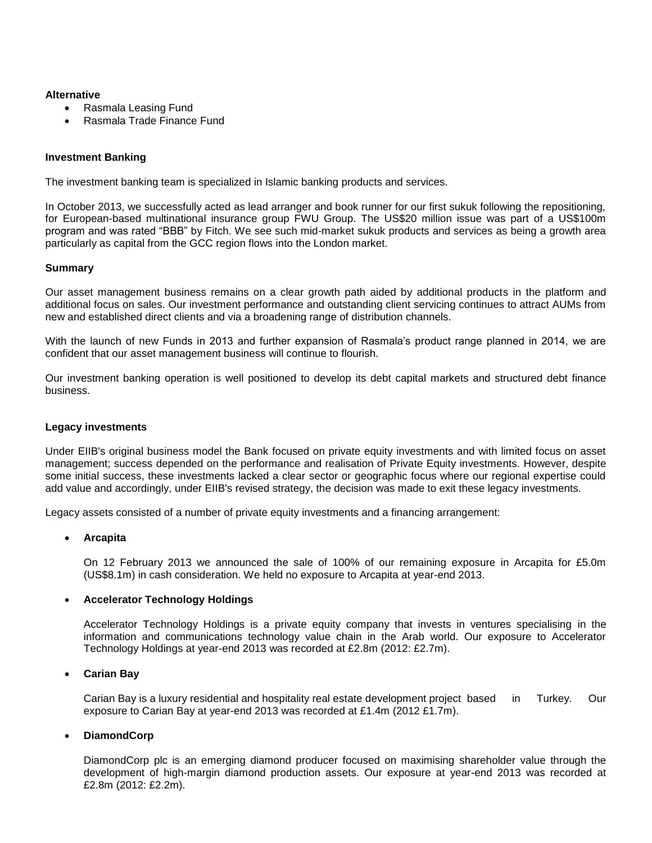## **Alternative**

- Rasmala Leasing Fund
- Rasmala Trade Finance Fund

#### **Investment Banking**

The investment banking team is specialized in Islamic banking products and services.

In October 2013, we successfully acted as lead arranger and book runner for our first sukuk following the repositioning, for European-based multinational insurance group FWU Group. The US\$20 million issue was part of a US\$100m program and was rated "BBB" by Fitch. We see such mid-market sukuk products and services as being a growth area particularly as capital from the GCC region flows into the London market.

#### **Summary**

Our asset management business remains on a clear growth path aided by additional products in the platform and additional focus on sales. Our investment performance and outstanding client servicing continues to attract AUMs from new and established direct clients and via a broadening range of distribution channels.

With the launch of new Funds in 2013 and further expansion of Rasmala's product range planned in 2014, we are confident that our asset management business will continue to flourish.

Our investment banking operation is well positioned to develop its debt capital markets and structured debt finance business.

#### **Legacy investments**

Under EIIB's original business model the Bank focused on private equity investments and with limited focus on asset management; success depended on the performance and realisation of Private Equity investments. However, despite some initial success, these investments lacked a clear sector or geographic focus where our regional expertise could add value and accordingly, under EIIB's revised strategy, the decision was made to exit these legacy investments.

Legacy assets consisted of a number of private equity investments and a financing arrangement:

#### **Arcapita**

On 12 February 2013 we announced the sale of 100% of our remaining exposure in Arcapita for £5.0m (US\$8.1m) in cash consideration. We held no exposure to Arcapita at year-end 2013.

#### **Accelerator Technology Holdings**

Accelerator Technology Holdings is a private equity company that invests in ventures specialising in the information and communications technology value chain in the Arab world. Our exposure to Accelerator Technology Holdings at year-end 2013 was recorded at £2.8m (2012: £2.7m).

#### **Carian Bay**

Carian Bay is a luxury residential and hospitality real estate development project based in Turkey. Our exposure to Carian Bay at year-end 2013 was recorded at £1.4m (2012 £1.7m).

#### **DiamondCorp**

DiamondCorp plc is an emerging diamond producer focused on maximising shareholder value through the development of high-margin diamond production assets. Our exposure at year-end 2013 was recorded at £2.8m (2012: £2.2m).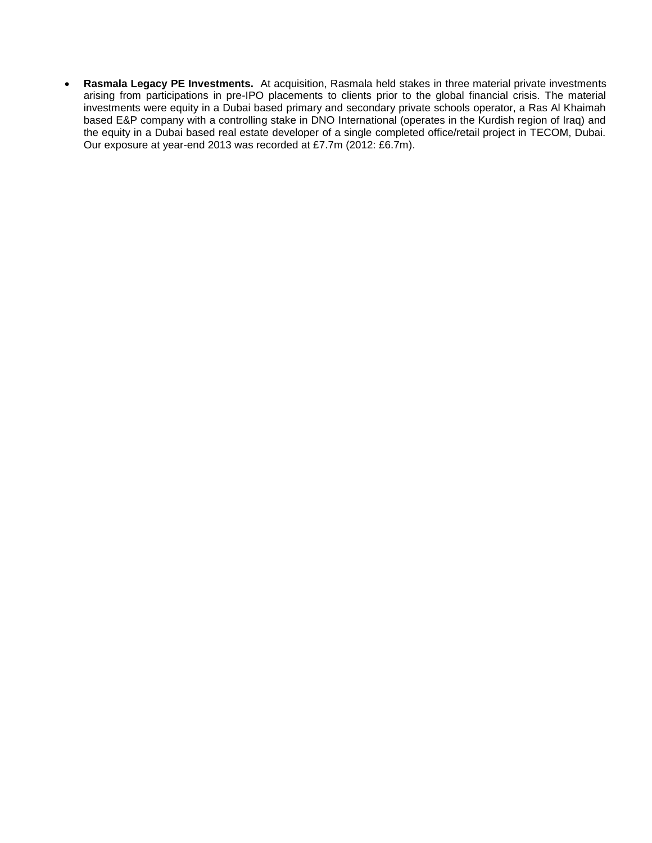**Rasmala Legacy PE Investments.** At acquisition, Rasmala held stakes in three material private investments arising from participations in pre-IPO placements to clients prior to the global financial crisis. The material investments were equity in a Dubai based primary and secondary private schools operator, a Ras Al Khaimah based E&P company with a controlling stake in DNO International (operates in the Kurdish region of Iraq) and the equity in a Dubai based real estate developer of a single completed office/retail project in TECOM, Dubai. Our exposure at year-end 2013 was recorded at £7.7m (2012: £6.7m).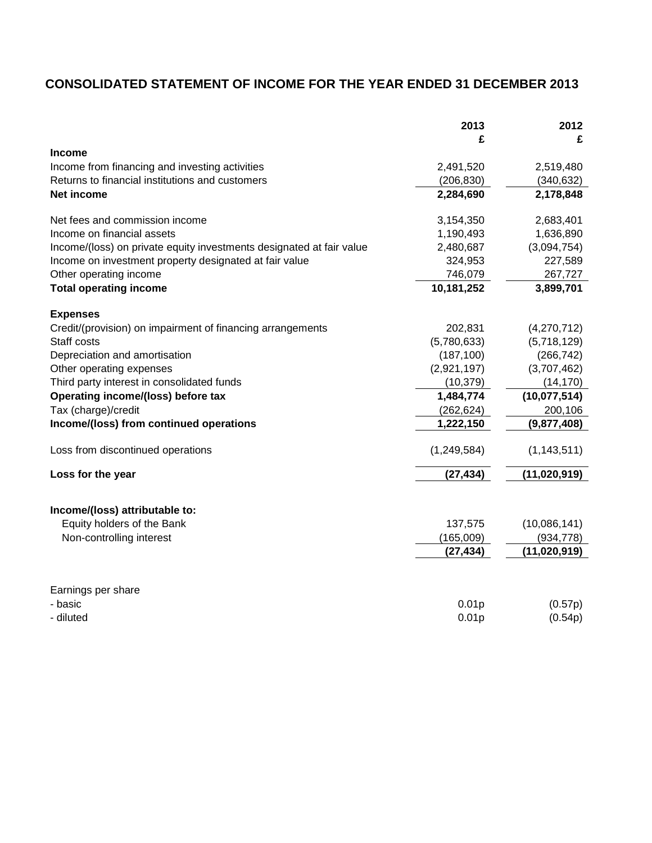# **CONSOLIDATED STATEMENT OF INCOME FOR THE YEAR ENDED 31 DECEMBER 2013**

| £<br>£<br><b>Income</b><br>Income from financing and investing activities<br>2,491,520<br>2,519,480<br>Returns to financial institutions and customers<br>(206, 830)<br>(340, 632)<br>Net income<br>2,284,690<br>2,178,848<br>Net fees and commission income<br>3,154,350<br>2,683,401<br>Income on financial assets<br>1,190,493<br>1,636,890<br>(3,094,754)<br>Income/(loss) on private equity investments designated at fair value<br>2,480,687<br>Income on investment property designated at fair value<br>324,953<br>227,589<br>Other operating income<br>746,079<br>267,727<br><b>Total operating income</b><br>10,181,252<br>3,899,701<br><b>Expenses</b><br>Credit/(provision) on impairment of financing arrangements<br>202,831<br>(4,270,712)<br>Staff costs<br>(5,780,633)<br>(5,718,129)<br>(187, 100)<br>(266, 742)<br>Depreciation and amortisation<br>(2,921,197)<br>(3,707,462)<br>Other operating expenses<br>Third party interest in consolidated funds<br>(10, 379)<br>(14, 170)<br>Operating income/(loss) before tax<br>1,484,774<br>(10,077,514)<br>Tax (charge)/credit<br>(262, 624)<br>200,106<br>Income/(loss) from continued operations<br>1,222,150<br>(9,877,408)<br>(1, 249, 584)<br>Loss from discontinued operations<br>(1, 143, 511)<br>Loss for the year<br>(27, 434)<br>(11,020,919)<br>Income/(loss) attributable to:<br>Equity holders of the Bank<br>(10,086,141)<br>137,575<br>Non-controlling interest<br>(165,009)<br>(934, 778)<br>(27, 434)<br>(11,020,919)<br>Earnings per share<br>0.01p<br>- basic<br>(0.57p)<br>- diluted<br>0.01 <sub>p</sub><br>(0.54p) | 2013 | 2012 |
|-----------------------------------------------------------------------------------------------------------------------------------------------------------------------------------------------------------------------------------------------------------------------------------------------------------------------------------------------------------------------------------------------------------------------------------------------------------------------------------------------------------------------------------------------------------------------------------------------------------------------------------------------------------------------------------------------------------------------------------------------------------------------------------------------------------------------------------------------------------------------------------------------------------------------------------------------------------------------------------------------------------------------------------------------------------------------------------------------------------------------------------------------------------------------------------------------------------------------------------------------------------------------------------------------------------------------------------------------------------------------------------------------------------------------------------------------------------------------------------------------------------------------------------------------------------------------------------------------------------|------|------|
|                                                                                                                                                                                                                                                                                                                                                                                                                                                                                                                                                                                                                                                                                                                                                                                                                                                                                                                                                                                                                                                                                                                                                                                                                                                                                                                                                                                                                                                                                                                                                                                                           |      |      |
|                                                                                                                                                                                                                                                                                                                                                                                                                                                                                                                                                                                                                                                                                                                                                                                                                                                                                                                                                                                                                                                                                                                                                                                                                                                                                                                                                                                                                                                                                                                                                                                                           |      |      |
|                                                                                                                                                                                                                                                                                                                                                                                                                                                                                                                                                                                                                                                                                                                                                                                                                                                                                                                                                                                                                                                                                                                                                                                                                                                                                                                                                                                                                                                                                                                                                                                                           |      |      |
|                                                                                                                                                                                                                                                                                                                                                                                                                                                                                                                                                                                                                                                                                                                                                                                                                                                                                                                                                                                                                                                                                                                                                                                                                                                                                                                                                                                                                                                                                                                                                                                                           |      |      |
|                                                                                                                                                                                                                                                                                                                                                                                                                                                                                                                                                                                                                                                                                                                                                                                                                                                                                                                                                                                                                                                                                                                                                                                                                                                                                                                                                                                                                                                                                                                                                                                                           |      |      |
|                                                                                                                                                                                                                                                                                                                                                                                                                                                                                                                                                                                                                                                                                                                                                                                                                                                                                                                                                                                                                                                                                                                                                                                                                                                                                                                                                                                                                                                                                                                                                                                                           |      |      |
|                                                                                                                                                                                                                                                                                                                                                                                                                                                                                                                                                                                                                                                                                                                                                                                                                                                                                                                                                                                                                                                                                                                                                                                                                                                                                                                                                                                                                                                                                                                                                                                                           |      |      |
|                                                                                                                                                                                                                                                                                                                                                                                                                                                                                                                                                                                                                                                                                                                                                                                                                                                                                                                                                                                                                                                                                                                                                                                                                                                                                                                                                                                                                                                                                                                                                                                                           |      |      |
|                                                                                                                                                                                                                                                                                                                                                                                                                                                                                                                                                                                                                                                                                                                                                                                                                                                                                                                                                                                                                                                                                                                                                                                                                                                                                                                                                                                                                                                                                                                                                                                                           |      |      |
|                                                                                                                                                                                                                                                                                                                                                                                                                                                                                                                                                                                                                                                                                                                                                                                                                                                                                                                                                                                                                                                                                                                                                                                                                                                                                                                                                                                                                                                                                                                                                                                                           |      |      |
|                                                                                                                                                                                                                                                                                                                                                                                                                                                                                                                                                                                                                                                                                                                                                                                                                                                                                                                                                                                                                                                                                                                                                                                                                                                                                                                                                                                                                                                                                                                                                                                                           |      |      |
|                                                                                                                                                                                                                                                                                                                                                                                                                                                                                                                                                                                                                                                                                                                                                                                                                                                                                                                                                                                                                                                                                                                                                                                                                                                                                                                                                                                                                                                                                                                                                                                                           |      |      |
|                                                                                                                                                                                                                                                                                                                                                                                                                                                                                                                                                                                                                                                                                                                                                                                                                                                                                                                                                                                                                                                                                                                                                                                                                                                                                                                                                                                                                                                                                                                                                                                                           |      |      |
|                                                                                                                                                                                                                                                                                                                                                                                                                                                                                                                                                                                                                                                                                                                                                                                                                                                                                                                                                                                                                                                                                                                                                                                                                                                                                                                                                                                                                                                                                                                                                                                                           |      |      |
|                                                                                                                                                                                                                                                                                                                                                                                                                                                                                                                                                                                                                                                                                                                                                                                                                                                                                                                                                                                                                                                                                                                                                                                                                                                                                                                                                                                                                                                                                                                                                                                                           |      |      |
|                                                                                                                                                                                                                                                                                                                                                                                                                                                                                                                                                                                                                                                                                                                                                                                                                                                                                                                                                                                                                                                                                                                                                                                                                                                                                                                                                                                                                                                                                                                                                                                                           |      |      |
|                                                                                                                                                                                                                                                                                                                                                                                                                                                                                                                                                                                                                                                                                                                                                                                                                                                                                                                                                                                                                                                                                                                                                                                                                                                                                                                                                                                                                                                                                                                                                                                                           |      |      |
|                                                                                                                                                                                                                                                                                                                                                                                                                                                                                                                                                                                                                                                                                                                                                                                                                                                                                                                                                                                                                                                                                                                                                                                                                                                                                                                                                                                                                                                                                                                                                                                                           |      |      |
|                                                                                                                                                                                                                                                                                                                                                                                                                                                                                                                                                                                                                                                                                                                                                                                                                                                                                                                                                                                                                                                                                                                                                                                                                                                                                                                                                                                                                                                                                                                                                                                                           |      |      |
|                                                                                                                                                                                                                                                                                                                                                                                                                                                                                                                                                                                                                                                                                                                                                                                                                                                                                                                                                                                                                                                                                                                                                                                                                                                                                                                                                                                                                                                                                                                                                                                                           |      |      |
|                                                                                                                                                                                                                                                                                                                                                                                                                                                                                                                                                                                                                                                                                                                                                                                                                                                                                                                                                                                                                                                                                                                                                                                                                                                                                                                                                                                                                                                                                                                                                                                                           |      |      |
|                                                                                                                                                                                                                                                                                                                                                                                                                                                                                                                                                                                                                                                                                                                                                                                                                                                                                                                                                                                                                                                                                                                                                                                                                                                                                                                                                                                                                                                                                                                                                                                                           |      |      |
|                                                                                                                                                                                                                                                                                                                                                                                                                                                                                                                                                                                                                                                                                                                                                                                                                                                                                                                                                                                                                                                                                                                                                                                                                                                                                                                                                                                                                                                                                                                                                                                                           |      |      |
|                                                                                                                                                                                                                                                                                                                                                                                                                                                                                                                                                                                                                                                                                                                                                                                                                                                                                                                                                                                                                                                                                                                                                                                                                                                                                                                                                                                                                                                                                                                                                                                                           |      |      |
|                                                                                                                                                                                                                                                                                                                                                                                                                                                                                                                                                                                                                                                                                                                                                                                                                                                                                                                                                                                                                                                                                                                                                                                                                                                                                                                                                                                                                                                                                                                                                                                                           |      |      |
|                                                                                                                                                                                                                                                                                                                                                                                                                                                                                                                                                                                                                                                                                                                                                                                                                                                                                                                                                                                                                                                                                                                                                                                                                                                                                                                                                                                                                                                                                                                                                                                                           |      |      |
|                                                                                                                                                                                                                                                                                                                                                                                                                                                                                                                                                                                                                                                                                                                                                                                                                                                                                                                                                                                                                                                                                                                                                                                                                                                                                                                                                                                                                                                                                                                                                                                                           |      |      |
|                                                                                                                                                                                                                                                                                                                                                                                                                                                                                                                                                                                                                                                                                                                                                                                                                                                                                                                                                                                                                                                                                                                                                                                                                                                                                                                                                                                                                                                                                                                                                                                                           |      |      |
|                                                                                                                                                                                                                                                                                                                                                                                                                                                                                                                                                                                                                                                                                                                                                                                                                                                                                                                                                                                                                                                                                                                                                                                                                                                                                                                                                                                                                                                                                                                                                                                                           |      |      |
|                                                                                                                                                                                                                                                                                                                                                                                                                                                                                                                                                                                                                                                                                                                                                                                                                                                                                                                                                                                                                                                                                                                                                                                                                                                                                                                                                                                                                                                                                                                                                                                                           |      |      |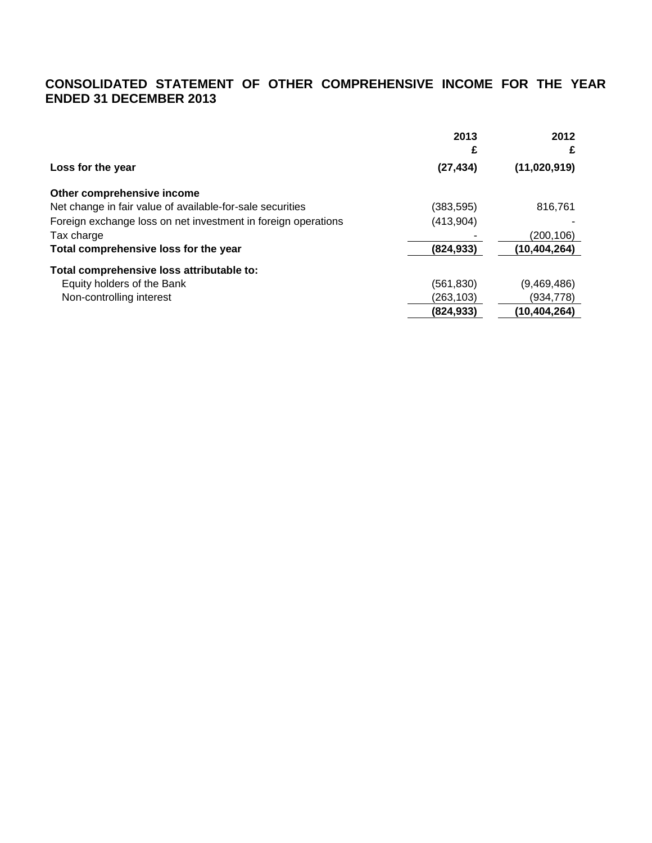## **CONSOLIDATED STATEMENT OF OTHER COMPREHENSIVE INCOME FOR THE YEAR ENDED 31 DECEMBER 2013**

|                                                               | 2013       | 2012         |
|---------------------------------------------------------------|------------|--------------|
|                                                               | £          |              |
| Loss for the year                                             | (27, 434)  | (11,020,919) |
| Other comprehensive income                                    |            |              |
| Net change in fair value of available-for-sale securities     | (383, 595) | 816.761      |
| Foreign exchange loss on net investment in foreign operations | (413,904)  |              |
| Tax charge                                                    |            | (200,106)    |
| Total comprehensive loss for the year                         | (824, 933) | (10,404,264) |
| Total comprehensive loss attributable to:                     |            |              |
| Equity holders of the Bank                                    | (561, 830) | (9,469,486)  |
| Non-controlling interest                                      | (263,103)  | (934,778)    |
|                                                               | (824, 933) | (10,404,264) |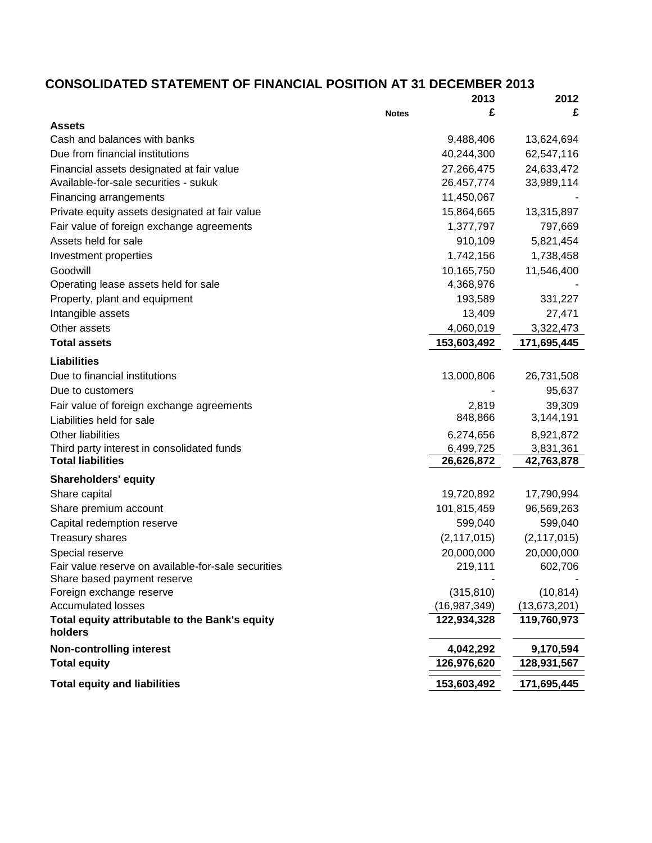# **CONSOLIDATED STATEMENT OF FINANCIAL POSITION AT 31 DECEMBER 2013**

|                                                           | 2013           | 2012           |
|-----------------------------------------------------------|----------------|----------------|
| <b>Notes</b>                                              | £              | £              |
| <b>Assets</b>                                             |                |                |
| Cash and balances with banks                              | 9,488,406      | 13,624,694     |
| Due from financial institutions                           | 40,244,300     | 62,547,116     |
| Financial assets designated at fair value                 | 27,266,475     | 24,633,472     |
| Available-for-sale securities - sukuk                     | 26,457,774     | 33,989,114     |
| Financing arrangements                                    | 11,450,067     |                |
| Private equity assets designated at fair value            | 15,864,665     | 13,315,897     |
| Fair value of foreign exchange agreements                 | 1,377,797      | 797,669        |
| Assets held for sale                                      | 910,109        | 5,821,454      |
| Investment properties                                     | 1,742,156      | 1,738,458      |
| Goodwill                                                  | 10,165,750     | 11,546,400     |
| Operating lease assets held for sale                      | 4,368,976      |                |
| Property, plant and equipment                             | 193,589        | 331,227        |
| Intangible assets                                         | 13,409         | 27,471         |
| Other assets                                              | 4,060,019      | 3,322,473      |
| <b>Total assets</b>                                       | 153,603,492    | 171,695,445    |
| <b>Liabilities</b>                                        |                |                |
| Due to financial institutions                             | 13,000,806     | 26,731,508     |
| Due to customers                                          |                | 95,637         |
| Fair value of foreign exchange agreements                 | 2,819          | 39,309         |
| Liabilities held for sale                                 | 848,866        | 3,144,191      |
| <b>Other liabilities</b>                                  | 6,274,656      | 8,921,872      |
| Third party interest in consolidated funds                | 6,499,725      | 3,831,361      |
| <b>Total liabilities</b>                                  | 26,626,872     | 42,763,878     |
| <b>Shareholders' equity</b>                               |                |                |
| Share capital                                             | 19,720,892     | 17,790,994     |
| Share premium account                                     | 101,815,459    | 96,569,263     |
| Capital redemption reserve                                | 599,040        | 599,040        |
| <b>Treasury shares</b>                                    | (2, 117, 015)  | (2, 117, 015)  |
| Special reserve                                           | 20,000,000     | 20,000,000     |
| Fair value reserve on available-for-sale securities       | 219,111        | 602,706        |
| Share based payment reserve                               |                |                |
| Foreign exchange reserve                                  | (315, 810)     | (10, 814)      |
| <b>Accumulated losses</b>                                 | (16, 987, 349) | (13, 673, 201) |
| Total equity attributable to the Bank's equity<br>holders | 122,934,328    | 119,760,973    |
| <b>Non-controlling interest</b>                           | 4,042,292      | 9,170,594      |
| <b>Total equity</b>                                       | 126,976,620    | 128,931,567    |
| <b>Total equity and liabilities</b>                       | 153,603,492    | 171,695,445    |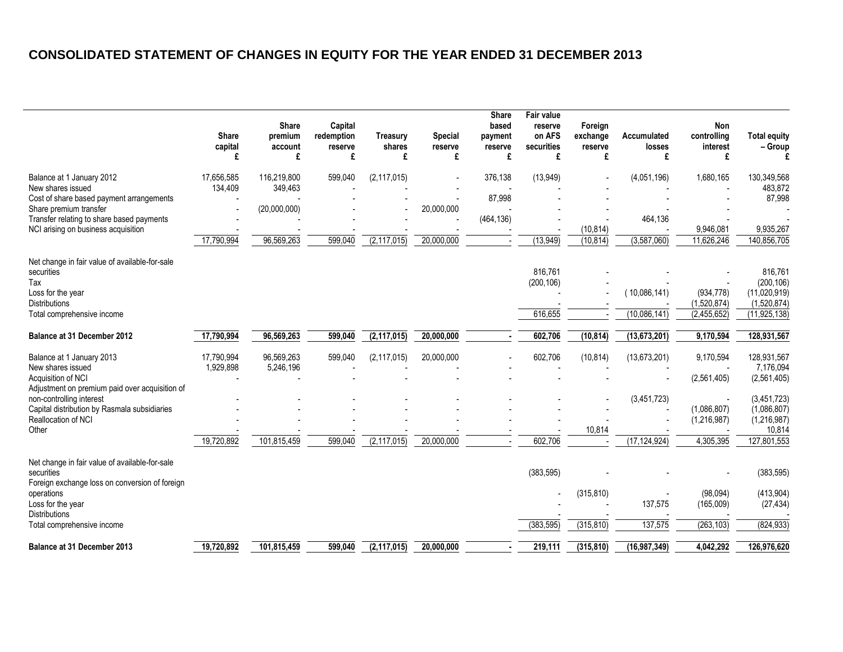# **CONSOLIDATED STATEMENT OF CHANGES IN EQUITY FOR THE YEAR ENDED 31 DECEMBER 2013**

|                                                                                                                                                   | <b>Share</b><br>capital<br>£ | <b>Share</b><br>premium<br>account<br>£ | Capital<br>redemption<br>reserve<br>£ | Treasury<br>shares<br>£ | Special<br>reserve<br>£ | <b>Share</b><br>based<br>payment<br>reserve<br>£ | <b>Fair value</b><br>reserve<br>on AFS<br>securities<br>£ | Foreign<br>exchange<br>reserve<br>£ | Accumulated<br>losses<br>£ | Non<br>controlling<br>interest<br>£ | <b>Total equity</b><br>$-$ Group                     |
|---------------------------------------------------------------------------------------------------------------------------------------------------|------------------------------|-----------------------------------------|---------------------------------------|-------------------------|-------------------------|--------------------------------------------------|-----------------------------------------------------------|-------------------------------------|----------------------------|-------------------------------------|------------------------------------------------------|
| Balance at 1 January 2012<br>New shares issued<br>Cost of share based payment arrangements                                                        | 17,656,585<br>134,409        | 116,219,800<br>349,463                  | 599,040                               | (2, 117, 015)           |                         | 376,138<br>87,998                                | (13,949)                                                  |                                     | (4,051,196)                | 1,680,165                           | 130,349,568<br>483,872<br>87,998                     |
| Share premium transfer<br>Transfer relating to share based payments<br>NCI arising on business acquisition                                        |                              | (20,000,000)                            |                                       |                         | 20,000,000              | (464, 136)                                       |                                                           | (10, 814)                           | 464,136                    | 9,946,081                           | 9,935,267                                            |
|                                                                                                                                                   | 17,790,994                   | 96,569,263                              | 599,040                               | (2, 117, 015)           | 20,000,000              |                                                  | (13, 949)                                                 | (10, 814)                           | (3,587,060)                | 11,626,246                          | 140,856,705                                          |
| Net change in fair value of available-for-sale<br>securities<br>Tax<br>Loss for the year<br><b>Distributions</b>                                  |                              |                                         |                                       |                         |                         |                                                  | 816,761<br>(200, 106)                                     |                                     | (10,086,141)               | (934, 778)<br>(1,520,874)           | 816,761<br>(200, 106)<br>(11,020,919)<br>(1,520,874) |
| Total comprehensive income                                                                                                                        |                              |                                         |                                       |                         |                         |                                                  | 616,655                                                   |                                     | (10,086,141)               | (2,455,652)                         | (11, 925, 138)                                       |
| Balance at 31 December 2012                                                                                                                       | 17,790,994                   | 96,569,263                              | 599,040                               | (2, 117, 015)           | 20,000,000              |                                                  | 602,706                                                   | (10, 814)                           | (13, 673, 201)             | 9,170,594                           | 128,931,567                                          |
| Balance at 1 January 2013<br>New shares issued<br>Acquisition of NCI                                                                              | 17,790,994<br>1,929,898      | 96,569,263<br>5,246,196                 | 599,040                               | (2, 117, 015)           | 20,000,000              |                                                  | 602,706                                                   | (10, 814)                           | (13, 673, 201)             | 9,170,594<br>(2,561,405)            | 128,931,567<br>7,176,094<br>(2,561,405)              |
| Adjustment on premium paid over acquisition of<br>non-controlling interest<br>Capital distribution by Rasmala subsidiaries<br>Reallocation of NCI |                              |                                         |                                       |                         |                         |                                                  |                                                           |                                     | (3,451,723)                | (1,086,807)<br>(1,216,987)          | (3,451,723)<br>(1,086,807)<br>(1,216,987)            |
| Other                                                                                                                                             | 19,720,892                   | 101,815,459                             | 599,040                               | (2, 117, 015)           | 20,000,000              |                                                  | 602,706                                                   | 10,814                              | (17, 124, 924)             | 4,305,395                           | 10,814<br>127,801,553                                |
| Net change in fair value of available-for-sale<br>securities<br>Foreign exchange loss on conversion of foreign                                    |                              |                                         |                                       |                         |                         |                                                  | (383, 595)                                                |                                     |                            |                                     | (383, 595)                                           |
| operations<br>Loss for the year<br><b>Distributions</b>                                                                                           |                              |                                         |                                       |                         |                         |                                                  |                                                           | (315, 810)                          | 137,575                    | (98,094)<br>(165,009)               | (413, 904)<br>(27, 434)                              |
| Total comprehensive income                                                                                                                        |                              |                                         |                                       |                         |                         |                                                  | (383, 595)                                                | (315, 810)                          | 137,575                    | (263, 103)                          | (824, 933)                                           |
| Balance at 31 December 2013                                                                                                                       | 19,720,892                   | 101.815.459                             | 599.040                               | (2, 117, 015)           | 20.000.000              |                                                  | 219,111                                                   | (315, 810)                          | (16,987,349)               | 4,042,292                           | 126,976,620                                          |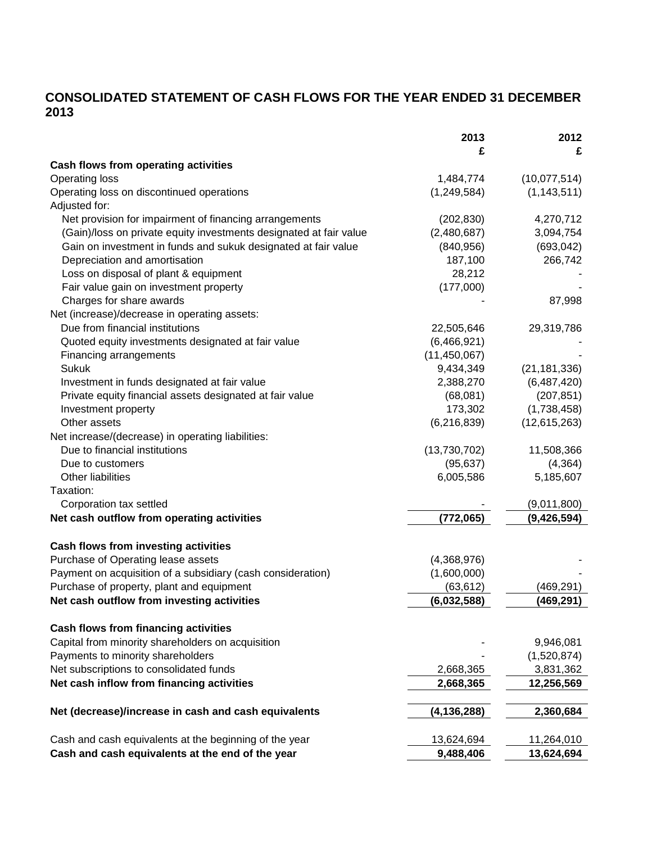# **CONSOLIDATED STATEMENT OF CASH FLOWS FOR THE YEAR ENDED 31 DECEMBER 2013**

|                                                                    | 2013           | 2012           |
|--------------------------------------------------------------------|----------------|----------------|
|                                                                    | £              | £              |
| <b>Cash flows from operating activities</b>                        |                |                |
| <b>Operating loss</b>                                              | 1,484,774      | (10,077,514)   |
| Operating loss on discontinued operations                          | (1,249,584)    | (1, 143, 511)  |
| Adjusted for:                                                      |                |                |
| Net provision for impairment of financing arrangements             | (202, 830)     | 4,270,712      |
| (Gain)/loss on private equity investments designated at fair value | (2,480,687)    | 3,094,754      |
| Gain on investment in funds and sukuk designated at fair value     | (840, 956)     | (693, 042)     |
| Depreciation and amortisation                                      | 187,100        | 266,742        |
| Loss on disposal of plant & equipment                              | 28,212         |                |
| Fair value gain on investment property                             | (177,000)      |                |
| Charges for share awards                                           |                | 87,998         |
| Net (increase)/decrease in operating assets:                       |                |                |
| Due from financial institutions                                    | 22,505,646     | 29,319,786     |
| Quoted equity investments designated at fair value                 | (6,466,921)    |                |
| Financing arrangements                                             | (11, 450, 067) |                |
| <b>Sukuk</b>                                                       | 9,434,349      | (21, 181, 336) |
| Investment in funds designated at fair value                       | 2,388,270      | (6,487,420)    |
| Private equity financial assets designated at fair value           | (68,081)       | (207, 851)     |
| Investment property                                                | 173,302        | (1,738,458)    |
| Other assets                                                       | (6, 216, 839)  | (12,615,263)   |
| Net increase/(decrease) in operating liabilities:                  |                |                |
| Due to financial institutions                                      | (13,730,702)   | 11,508,366     |
| Due to customers                                                   | (95, 637)      | (4, 364)       |
| Other liabilities                                                  | 6,005,586      | 5,185,607      |
| Taxation:                                                          |                |                |
| Corporation tax settled                                            |                | (9,011,800)    |
| Net cash outflow from operating activities                         | (772,065)      | (9,426,594)    |
| Cash flows from investing activities                               |                |                |
| Purchase of Operating lease assets                                 | (4,368,976)    |                |
| Payment on acquisition of a subsidiary (cash consideration)        | (1,600,000)    |                |
| Purchase of property, plant and equipment                          | (63, 612)      | (469, 291)     |
| Net cash outflow from investing activities                         | (6,032,588)    | (469,291)      |
| <b>Cash flows from financing activities</b>                        |                |                |
| Capital from minority shareholders on acquisition                  |                | 9,946,081      |
| Payments to minority shareholders                                  |                | (1,520,874)    |
| Net subscriptions to consolidated funds                            | 2,668,365      | 3,831,362      |
| Net cash inflow from financing activities                          | 2,668,365      | 12,256,569     |
|                                                                    |                |                |
| Net (decrease)/increase in cash and cash equivalents               | (4, 136, 288)  | 2,360,684      |
| Cash and cash equivalents at the beginning of the year             | 13,624,694     | 11,264,010     |
| Cash and cash equivalents at the end of the year                   | 9,488,406      | 13,624,694     |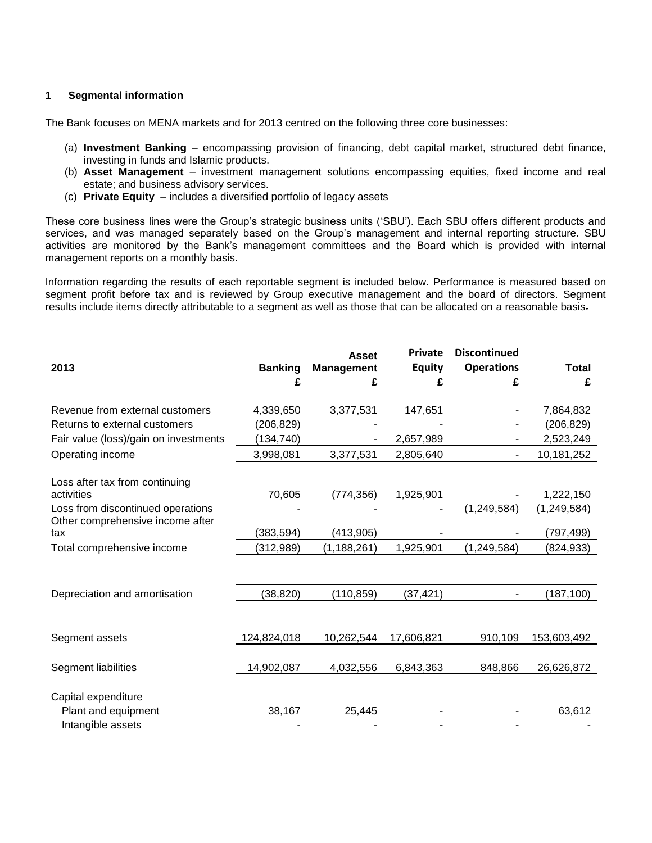## **1 Segmental information**

The Bank focuses on MENA markets and for 2013 centred on the following three core businesses:

- (a) **Investment Banking** encompassing provision of financing, debt capital market, structured debt finance, investing in funds and Islamic products.
- (b) **Asset Management**  investment management solutions encompassing equities, fixed income and real estate; and business advisory services.
- (c) **Private Equity**  includes a diversified portfolio of legacy assets

These core business lines were the Group's strategic business units ('SBU'). Each SBU offers different products and services, and was managed separately based on the Group's management and internal reporting structure. SBU activities are monitored by the Bank's management committees and the Board which is provided with internal management reports on a monthly basis.

Information regarding the results of each reportable segment is included below. Performance is measured based on segment profit before tax and is reviewed by Group executive management and the board of directors. Segment results include items directly attributable to a segment as well as those that can be allocated on a reasonable basis.

| 2013                                                                  | <b>Banking</b><br>£ | <b>Asset</b><br><b>Management</b><br>£ | <b>Private</b><br><b>Equity</b><br>£ | <b>Discontinued</b><br><b>Operations</b><br>£ | <b>Total</b><br>£ |
|-----------------------------------------------------------------------|---------------------|----------------------------------------|--------------------------------------|-----------------------------------------------|-------------------|
| Revenue from external customers                                       | 4,339,650           | 3,377,531                              | 147,651                              |                                               | 7,864,832         |
| Returns to external customers                                         | (206, 829)          |                                        |                                      |                                               | (206, 829)        |
| Fair value (loss)/gain on investments                                 | (134,740)           |                                        | 2,657,989                            |                                               | 2,523,249         |
| Operating income                                                      | 3,998,081           | 3,377,531                              | 2,805,640                            |                                               | 10,181,252        |
| Loss after tax from continuing<br>activities                          | 70,605              | (774, 356)                             | 1,925,901                            |                                               | 1,222,150         |
| Loss from discontinued operations<br>Other comprehensive income after |                     |                                        |                                      | (1,249,584)                                   | (1, 249, 584)     |
| tax                                                                   | (383, 594)          | (413,905)                              |                                      |                                               | (797, 499)        |
| Total comprehensive income                                            | (312, 989)          | (1, 188, 261)                          | 1,925,901                            | (1, 249, 584)                                 | (824,933)         |
|                                                                       |                     |                                        |                                      |                                               |                   |
| Depreciation and amortisation                                         | (38, 820)           | (110, 859)                             | (37,421)                             |                                               | (187, 100)        |
|                                                                       |                     |                                        |                                      |                                               |                   |
| Segment assets                                                        | 124,824,018         | 10,262,544                             | 17,606,821                           | 910,109                                       | 153,603,492       |
| Segment liabilities                                                   | 14,902,087          | 4,032,556                              | 6,843,363                            | 848,866                                       | 26,626,872        |
| Capital expenditure<br>Plant and equipment                            | 38,167              | 25,445                                 |                                      |                                               | 63,612            |
| Intangible assets                                                     |                     |                                        |                                      |                                               |                   |